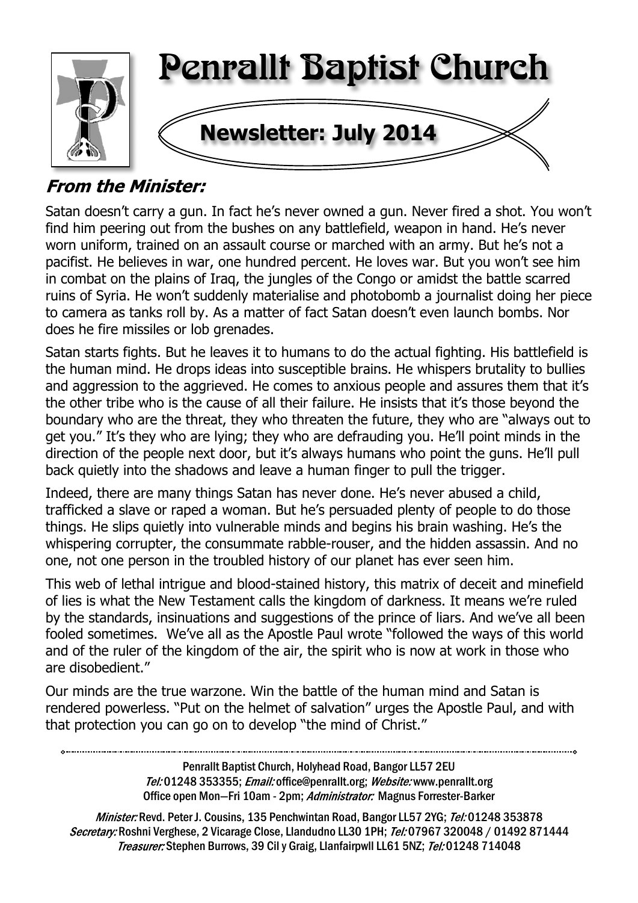

# **From the Minister:**

Satan doesn't carry a gun. In fact he's never owned a gun. Never fired a shot. You won't find him peering out from the bushes on any battlefield, weapon in hand. He's never worn uniform, trained on an assault course or marched with an army. But he's not a pacifist. He believes in war, one hundred percent. He loves war. But you won't see him in combat on the plains of Iraq, the jungles of the Congo or amidst the battle scarred ruins of Syria. He won't suddenly materialise and photobomb a journalist doing her piece to camera as tanks roll by. As a matter of fact Satan doesn't even launch bombs. Nor does he fire missiles or lob grenades.

Satan starts fights. But he leaves it to humans to do the actual fighting. His battlefield is the human mind. He drops ideas into susceptible brains. He whispers brutality to bullies and aggression to the aggrieved. He comes to anxious people and assures them that it's the other tribe who is the cause of all their failure. He insists that it's those beyond the boundary who are the threat, they who threaten the future, they who are "always out to get you." It's they who are lying; they who are defrauding you. He'll point minds in the direction of the people next door, but it's always humans who point the guns. He'll pull back quietly into the shadows and leave a human finger to pull the trigger.

Indeed, there are many things Satan has never done. He's never abused a child, trafficked a slave or raped a woman. But he's persuaded plenty of people to do those things. He slips quietly into vulnerable minds and begins his brain washing. He's the whispering corrupter, the consummate rabble-rouser, and the hidden assassin. And no one, not one person in the troubled history of our planet has ever seen him.

This web of lethal intrigue and blood-stained history, this matrix of deceit and minefield of lies is what the New Testament calls the kingdom of darkness. It means we're ruled by the standards, insinuations and suggestions of the prince of liars. And we've all been fooled sometimes. We've all as the Apostle Paul wrote "followed the ways of this world and of the ruler of the kingdom of the air, the spirit who is now at work in those who are disobedient."

Our minds are the true warzone. Win the battle of the human mind and Satan is rendered powerless. "Put on the helmet of salvation" urges the Apostle Paul, and with that protection you can go on to develop "the mind of Christ."

> Penrallt Baptist Church, Holyhead Road, Bangor LL57 2EU Tel:01248 353355; Email: office@penrallt.org; Website: www.penrallt.org Office open Mon-Fri 10am - 2pm; Administrator: Magnus Forrester-Barker

Minister: Revd. Peter J. Cousins, 135 Penchwintan Road, Bangor LL57 2YG; Tel: 01248 353878 Secretary: Roshni Verghese, 2 Vicarage Close, Llandudno LL30 1PH; Tel: 07967 320048 / 01492 871444 Treasurer: Stephen Burrows, 39 Cil y Graig, Llanfairpwll LL61 5NZ; Tel: 01248 714048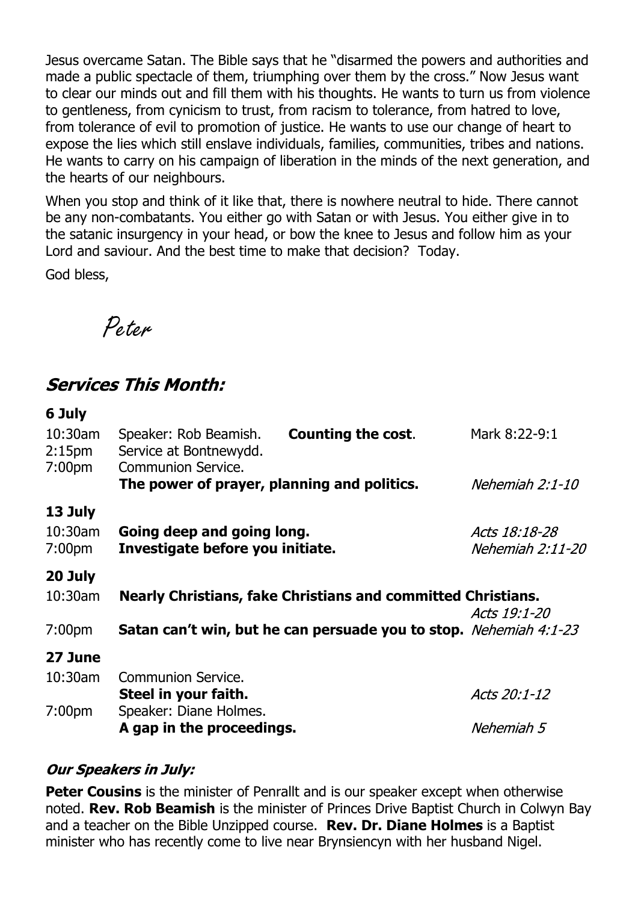Jesus overcame Satan. The Bible says that he "disarmed the powers and authorities and made a public spectacle of them, triumphing over them by the cross." Now Jesus want to clear our minds out and fill them with his thoughts. He wants to turn us from violence to gentleness, from cynicism to trust, from racism to tolerance, from hatred to love, from tolerance of evil to promotion of justice. He wants to use our change of heart to expose the lies which still enslave individuals, families, communities, tribes and nations. He wants to carry on his campaign of liberation in the minds of the next generation, and the hearts of our neighbours.

When you stop and think of it like that, there is nowhere neutral to hide. There cannot be any non-combatants. You either go with Satan or with Jesus. You either give in to the satanic insurgency in your head, or bow the knee to Jesus and follow him as your Lord and saviour. And the best time to make that decision? Today.

God bless,

Peter

### **Services This Month:**

| 6 July                                                 |                                                                          |                           |                                   |  |
|--------------------------------------------------------|--------------------------------------------------------------------------|---------------------------|-----------------------------------|--|
| $10:30$ am<br>2:15 <sub>pm</sub><br>7:00 <sub>pm</sub> | Speaker: Rob Beamish.<br>Service at Bontnewydd.<br>Communion Service.    | <b>Counting the cost.</b> | Mark 8:22-9:1                     |  |
|                                                        | The power of prayer, planning and politics.                              |                           | Nehemiah 2:1-10                   |  |
| 13 July<br>10:30am<br>7:00 <sub>pm</sub>               | Going deep and going long.<br>Investigate before you initiate.           |                           | Acts 18:18-28<br>Nehemiah 2:11-20 |  |
| 20 July<br>$10:30$ am                                  | <b>Nearly Christians, fake Christians and committed Christians.</b>      |                           |                                   |  |
| 7:00 <sub>pm</sub>                                     | <b>Satan can't win, but he can persuade you to stop.</b> Nehemiah 4:1-23 |                           | Acts 19:1-20                      |  |
| 27 June                                                |                                                                          |                           |                                   |  |
| $10:30$ am                                             | Communion Service.<br>Steel in your faith.                               |                           | Acts 20:1-12                      |  |
| 7:00 <sub>pm</sub>                                     | Speaker: Diane Holmes.<br>A gap in the proceedings.                      |                           | Nehemiah 5                        |  |
|                                                        |                                                                          |                           |                                   |  |

#### **Our Speakers in July:**

**Peter Cousins** is the minister of Penrallt and is our speaker except when otherwise noted. **Rev. Rob Beamish** is the minister of Princes Drive Baptist Church in Colwyn Bay and a teacher on the Bible Unzipped course. **Rev. Dr. Diane Holmes** is a Baptist minister who has recently come to live near Brynsiencyn with her husband Nigel.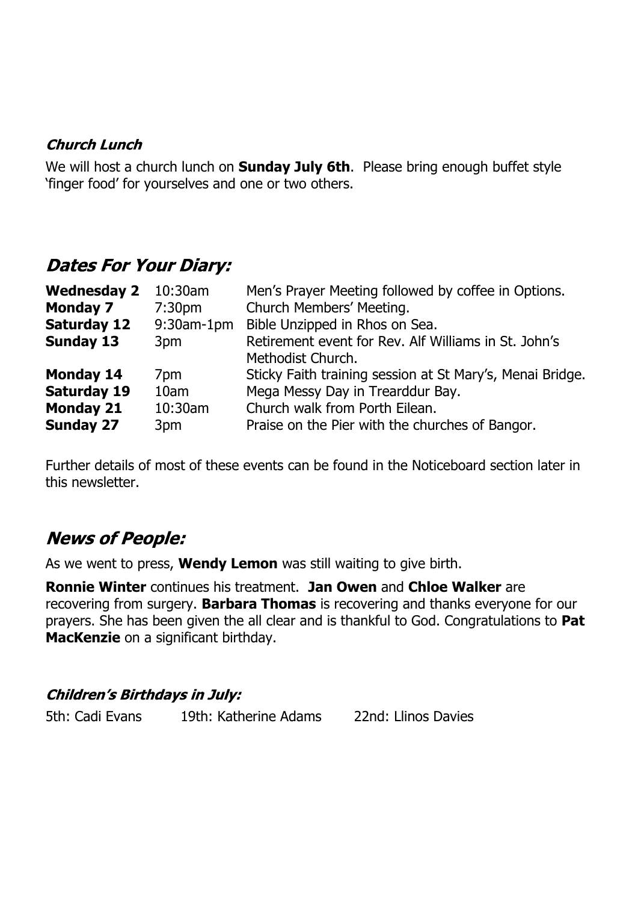#### **Church Lunch**

We will host a church lunch on **Sunday July 6th**. Please bring enough buffet style 'finger food' for yourselves and one or two others.

### **Dates For Your Diary:**

| <b>Wednesday 2</b> | $10:30$ am         | Men's Prayer Meeting followed by coffee in Options.       |
|--------------------|--------------------|-----------------------------------------------------------|
| <b>Monday 7</b>    | 7:30 <sub>pm</sub> | Church Members' Meeting.                                  |
| <b>Saturday 12</b> | $9:30$ am-1pm      | Bible Unzipped in Rhos on Sea.                            |
| <b>Sunday 13</b>   | 3pm                | Retirement event for Rev. Alf Williams in St. John's      |
|                    |                    | Methodist Church.                                         |
| <b>Monday 14</b>   | 7pm                | Sticky Faith training session at St Mary's, Menai Bridge. |
| <b>Saturday 19</b> | 10am               | Mega Messy Day in Trearddur Bay.                          |
| <b>Monday 21</b>   | 10:30am            | Church walk from Porth Eilean.                            |
| <b>Sunday 27</b>   | 3pm                | Praise on the Pier with the churches of Bangor.           |

Further details of most of these events can be found in the Noticeboard section later in this newsletter.

# **News of People:**

As we went to press, **Wendy Lemon** was still waiting to give birth.

**Ronnie Winter** continues his treatment. **Jan Owen** and **Chloe Walker** are recovering from surgery. **Barbara Thomas** is recovering and thanks everyone for our prayers. She has been given the all clear and is thankful to God. Congratulations to **Pat MacKenzie** on a significant birthday.

#### **Children's Birthdays in July:**

5th: Cadi Evans 19th: Katherine Adams 22nd: Llinos Davies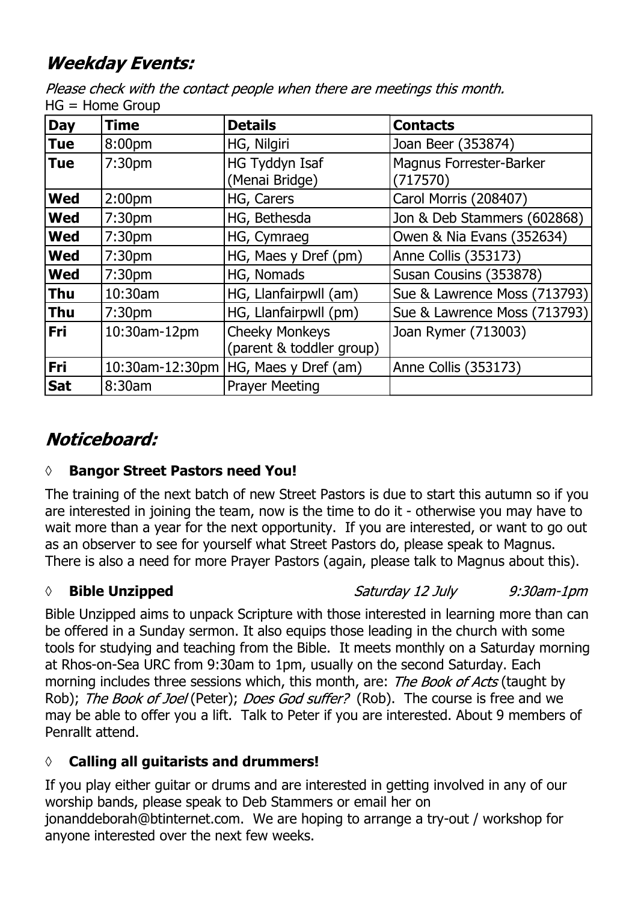# **Weekday Events:**

Please check with the contact people when there are meetings this month.  $HG = Home GrouD$ 

| <b>Day</b> | <b>Time</b>        | <b>Details</b>                                    | <b>Contacts</b>                            |
|------------|--------------------|---------------------------------------------------|--------------------------------------------|
| <b>Tue</b> | 8:00pm             | HG, Nilgiri                                       | Joan Beer (353874)                         |
| <b>Tue</b> | 7:30 <sub>pm</sub> | HG Tyddyn Isaf<br>(Menai Bridge)                  | <b>Magnus Forrester-Barker</b><br>(717570) |
| <b>Wed</b> | 2:00 <sub>pm</sub> | HG, Carers                                        | Carol Morris (208407)                      |
| <b>Wed</b> | 7:30 <sub>pm</sub> | HG, Bethesda                                      | Jon & Deb Stammers (602868)                |
| <b>Wed</b> | 7:30 <sub>pm</sub> | HG, Cymraeg                                       | Owen & Nia Evans (352634)                  |
| <b>Wed</b> | 7:30 <sub>pm</sub> | HG, Maes y Dref (pm)                              | Anne Collis (353173)                       |
| <b>Wed</b> | 7:30 <sub>pm</sub> | HG, Nomads                                        | Susan Cousins (353878)                     |
| <b>Thu</b> | 10:30am            | HG, Llanfairpwll (am)                             | Sue & Lawrence Moss (713793)               |
| <b>Thu</b> | 7:30 <sub>pm</sub> | HG, Llanfairpwll (pm)                             | Sue & Lawrence Moss (713793)               |
| Fri        | 10:30am-12pm       | <b>Cheeky Monkeys</b><br>(parent & toddler group) | Joan Rymer (713003)                        |
| Fri        | 10:30am-12:30pm    | HG, Maes y Dref (am)                              | Anne Collis (353173)                       |
| <b>Sat</b> | 8:30am             | <b>Prayer Meeting</b>                             |                                            |

# Noticeboard:

### **◊ Bangor Street Pastors need You!**

The training of the next batch of new Street Pastors is due to start this autumn so if you are interested in joining the team, now is the time to do it - otherwise you may have to wait more than a year for the next opportunity. If you are interested, or want to go out as an observer to see for yourself what Street Pastors do, please speak to Magnus. There is also a need for more Prayer Pastors (again, please talk to Magnus about this).

### **◊ Bible Unzipped**

Saturday 12 July 9:30am-1pm

Bible Unzipped aims to unpack Scripture with those interested in learning more than can be offered in a Sunday sermon. It also equips those leading in the church with some tools for studying and teaching from the Bible. It meets monthly on a Saturday morning at Rhos-on-Sea URC from 9:30am to 1pm, usually on the second Saturday. Each morning includes three sessions which, this month, are: *The Book of Acts* (taught by Rob); The Book of Joel (Peter); Does God suffer? (Rob). The course is free and we may be able to offer you a lift. Talk to Peter if you are interested. About 9 members of Penrallt attend.

### **◊ Calling all guitarists and drummers!**

If you play either guitar or drums and are interested in getting involved in any of our worship bands, please speak to Deb Stammers or email her on jonanddeborah@btinternet.com. We are hoping to arrange a try-out / workshop for anyone interested over the next few weeks.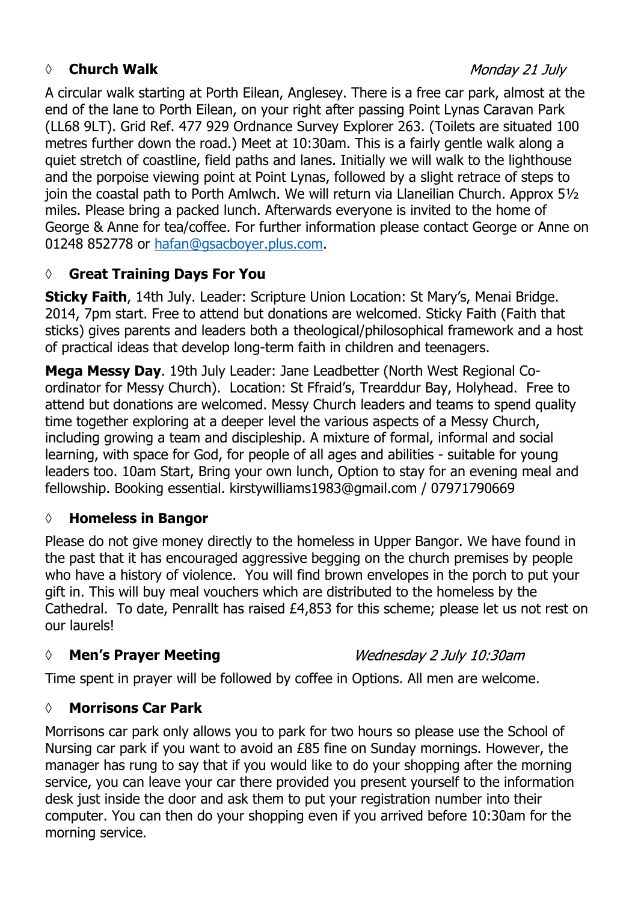### *◊* **Church Walk**

#### Monday 21 July

A circular walk starting at Porth Eilean, Anglesey. There is a free car park, almost at the end of the lane to Porth Eilean, on your right after passing Point Lynas Caravan Park (LL68 9LT). Grid Ref. 477 929 Ordnance Survey Explorer 263. (Toilets are situated 100 metres further down the road.) Meet at 10:30am. This is a fairly gentle walk along a quiet stretch of coastline, field paths and lanes. Initially we will walk to the lighthouse and the porpoise viewing point at Point Lynas, followed by a slight retrace of steps to join the coastal path to Porth Amlwch. We will return via Llaneilian Church. Approx 5½ miles. Please bring a packed lunch. Afterwards everyone is invited to the home of George & Anne for tea/coffee. For further information please contact George or Anne on 01248 852778 or hafan@gsacboyer.plus.com.

### **◊ Great Training Days For You**

**Sticky Faith**, 14th July. Leader: Scripture Union Location: St Mary's, Menai Bridge. 2014, 7pm start. Free to attend but donations are welcomed. Sticky Faith (Faith that sticks) gives parents and leaders both a theological/philosophical framework and a host of practical ideas that develop long-term faith in children and teenagers.

**Mega Messy Day**. 19th July Leader: Jane Leadbetter (North West Regional Coordinator for Messy Church). Location: St Ffraid's, Trearddur Bay, Holyhead. Free to attend but donations are welcomed. Messy Church leaders and teams to spend quality time together exploring at a deeper level the various aspects of a Messy Church, including growing a team and discipleship. A mixture of formal, informal and social learning, with space for God, for people of all ages and abilities - suitable for young leaders too. 10am Start, Bring your own lunch, Option to stay for an evening meal and fellowship. Booking essential. kirstywilliams1983@gmail.com / 07971790669

#### **◊ Homeless in Bangor**

Please do not give money directly to the homeless in Upper Bangor. We have found in the past that it has encouraged aggressive begging on the church premises by people who have a history of violence. You will find brown envelopes in the porch to put your gift in. This will buy meal vouchers which are distributed to the homeless by the Cathedral. To date, Penrallt has raised £4,853 for this scheme; please let us not rest on our laurels!

#### *◊* **Men's Prayer Meeting**

Wednesday 2 July 10:30am

Time spent in prayer will be followed by coffee in Options. All men are welcome.

#### **◊ Morrisons Car Park**

Morrisons car park only allows you to park for two hours so please use the School of Nursing car park if you want to avoid an £85 fine on Sunday mornings. However, the manager has rung to say that if you would like to do your shopping after the morning service, you can leave your car there provided you present yourself to the information desk just inside the door and ask them to put your registration number into their computer. You can then do your shopping even if you arrived before 10:30am for the morning service.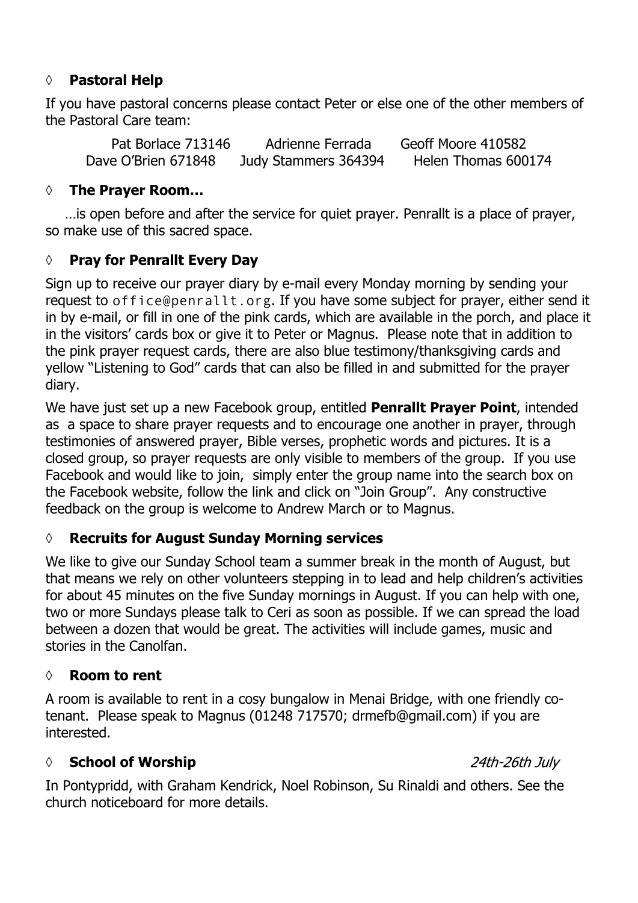#### **◊ Pastoral Help**

If you have pastoral concerns please contact Peter or else one of the other members of the Pastoral Care team:

Pat Borlace 713146 Adrienne Ferrada Geoff Moore 410582 Dave O'Brien 671848 Judy Stammers 364394 Helen Thomas 600174

#### **◊ The Prayer Room…**

…is open before and after the service for quiet prayer. Penrallt is a place of prayer, so make use of this sacred space.

#### **◊ Pray for Penrallt Every Day**

Sign up to receive our prayer diary by e-mail every Monday morning by sending your request to office@penrallt.org. If you have some subject for prayer, either send it in by e-mail, or fill in one of the pink cards, which are available in the porch, and place it in the visitors' cards box or give it to Peter or Magnus. Please note that in addition to the pink prayer request cards, there are also blue testimony/thanksgiving cards and yellow "Listening to God" cards that can also be filled in and submitted for the prayer diary.

We have just set up a new Facebook group, entitled **Penrallt Prayer Point**, intended as a space to share prayer requests and to encourage one another in prayer, through testimonies of answered prayer, Bible verses, prophetic words and pictures. It is a closed group, so prayer requests are only visible to members of the group. If you use Facebook and would like to join, simply enter the group name into the search box on the Facebook website, follow the link and click on "Join Group". Any constructive feedback on the group is welcome to Andrew March or to Magnus.

#### **◊ Recruits for August Sunday Morning services**

We like to give our Sunday School team a summer break in the month of August, but that means we rely on other volunteers stepping in to lead and help children's activities for about 45 minutes on the five Sunday mornings in August. If you can help with one, two or more Sundays please talk to Ceri as soon as possible. If we can spread the load between a dozen that would be great. The activities will include games, music and stories in the Canolfan.

#### **◊ Room to rent**

A room is available to rent in a cosy bungalow in Menai Bridge, with one friendly cotenant. Please speak to Magnus (01248 717570; drmefb@gmail.com) if you are interested.

#### *◊* **School of Worship**

In Pontypridd, with Graham Kendrick, Noel Robinson, Su Rinaldi and others. See the church noticeboard for more details.

24th-26th July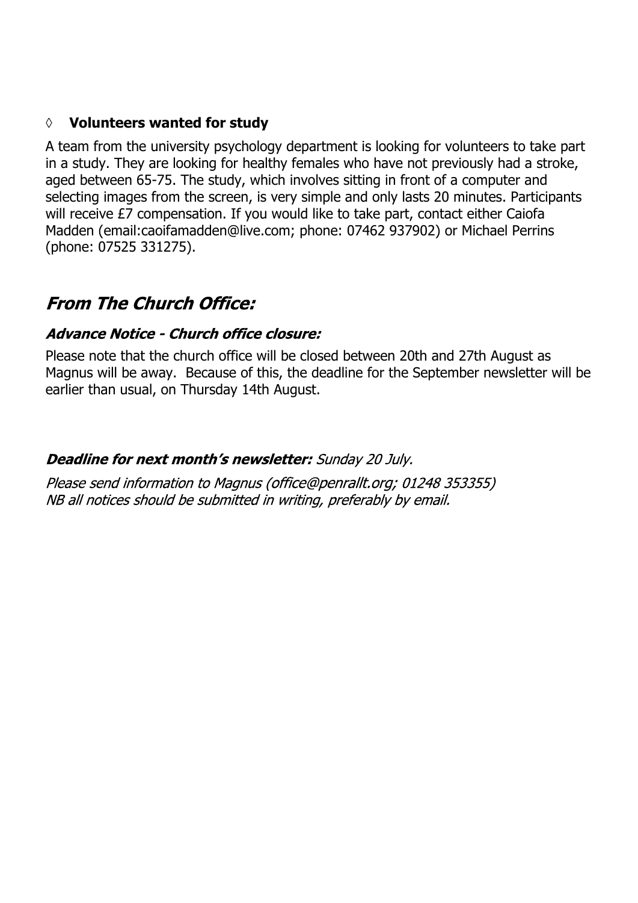#### **◊ Volunteers wanted for study**

A team from the university psychology department is looking for volunteers to take part in a study. They are looking for healthy females who have not previously had a stroke, aged between 65-75. The study, which involves sitting in front of a computer and selecting images from the screen, is very simple and only lasts 20 minutes. Participants will receive £7 compensation. If you would like to take part, contact either Caiofa Madden (email:caoifamadden@live.com; phone: 07462 937902) or Michael Perrins (phone: 07525 331275).

# **From The Church Office:**

#### Advance Notice - Church office closure:

Please note that the church office will be closed between 20th and 27th August as Magnus will be away. Because of this, the deadline for the September newsletter will be earlier than usual, on Thursday 14th August.

#### Deadline for next month's newsletter: Sunday 20 July.

Please send information to Magnus (office@penrallt.org; 01248 353355) NB all notices should be submitted in writing, preferably by email.